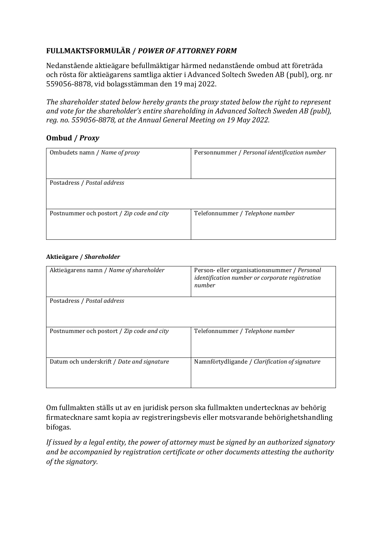## **FULLMAKTSFORMULÄR /** *POWER OF ATTORNEY FORM*

Nedanstående aktieägare befullmäktigar härmed nedanstående ombud att företräda och rösta för aktieägarens samtliga aktier i Advanced Soltech Sweden AB (publ), org. nr 559056-8878, vid bolagsstämman den 19 maj 2022.

*The shareholder stated below hereby grants the proxy stated below the right to represent and vote for the shareholder's entire shareholding in Advanced Soltech Sweden AB (publ), reg. no. 559056-8878, at the Annual General Meeting on 19 May 2022.* 

## **Ombud /** *Proxy*

| Ombudets namn / Name of proxy              | Personnummer / Personal identification number |
|--------------------------------------------|-----------------------------------------------|
| Postadress / Postal address                |                                               |
| Postnummer och postort / Zip code and city | Telefonnummer / Telephone number              |

## **Aktieägare /** *Shareholder*

| Aktieägarens namn / Name of shareholder    | Person-eller organisationsnummer / Personal<br>identification number or corporate registration<br>number |
|--------------------------------------------|----------------------------------------------------------------------------------------------------------|
| Postadress / Postal address                |                                                                                                          |
| Postnummer och postort / Zip code and city | Telefonnummer / Telephone number                                                                         |
| Datum och underskrift / Date and signature | Namnförtydligande / Clarification of signature                                                           |

Om fullmakten ställs ut av en juridisk person ska fullmakten undertecknas av behörig firmatecknare samt kopia av registreringsbevis eller motsvarande behörighetshandling bifogas.

*If issued by a legal entity, the power of attorney must be signed by an authorized signatory and be accompanied by registration certificate or other documents attesting the authority of the signatory.*